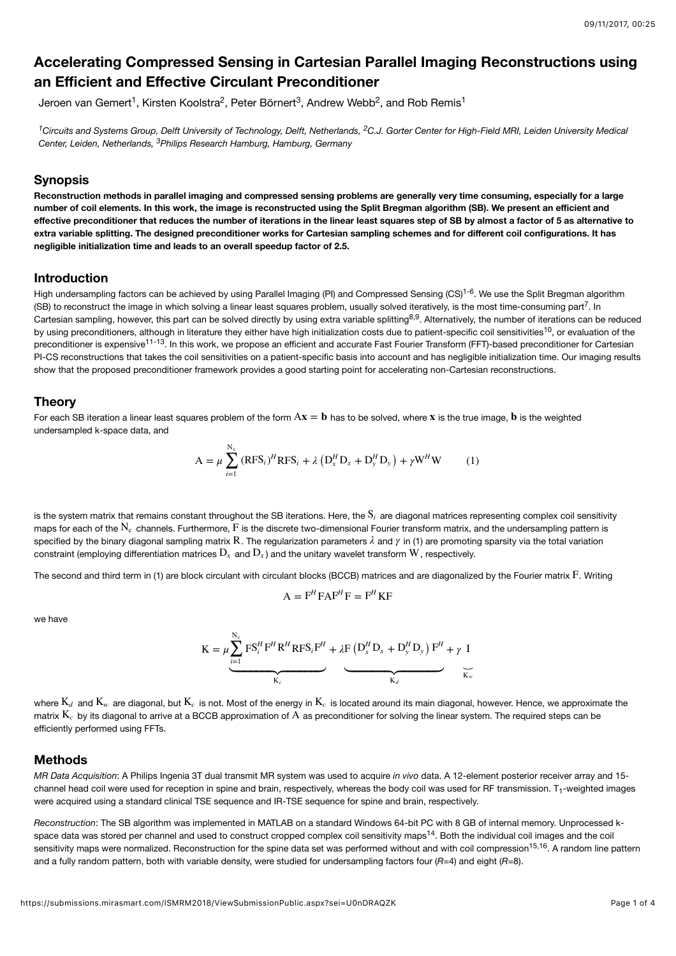# **Accelerating Compressed Sensing in Cartesian Parallel Imaging Reconstructions using an Efficient and Effective Circulant Preconditioner**

Jeroen van Gemert<sup>1</sup>, Kirsten Koolstra<sup>2</sup>, Peter Börnert<sup>3</sup>, Andrew Webb<sup>2</sup>, and Rob Remis<sup>1</sup>

<sup>1</sup> Circuits and Systems Group, Delft University of Technology, Delft, Netherlands, <sup>2</sup>C.J. Gorter Center for High-Field MRI, Leiden University Medical Center, Leiden, Netherlands, <sup>3</sup>Philips Research Hamburg, Hamburg, Germany

### **Synopsis**

**Reconstruction methods in parallel imaging and compressed sensing problems are generally very time consuming, especially for a large number of coil elements. In this work, the image is reconstructed using the Split Bregman algorithm (SB). We present an efficient and effective preconditioner that reduces the number of iterations in the linear least squares step of SB by almost a factor of 5 as alternative to extra variable splitting. The designed preconditioner works for Cartesian sampling schemes and for different coil configurations. It has negligible initialization time and leads to an overall speedup factor of 2.5.**

## **Introduction**

High undersampling factors can be achieved by using Parallel Imaging (PI) and Compressed Sensing (CS)<sup>1-6</sup>. We use the Split Bregman algorithm (SB) to reconstruct the image in which solving a linear least squares problem, usually solved iteratively, is the most time-consuming part<sup>7</sup>. In Cartesian sampling, however, this part can be solved directly by using extra variable splitting<sup>8,9</sup>. Alternatively, the number of iterations can be reduced by using preconditioners, although in literature they either have high initialization costs due to patient-specific coil sensitivities<sup>10</sup>, or evaluation of the preconditioner is expensive<sup>11-13</sup>. In this work, we propose an efficient and accurate Fast Fourier Transform (FFT)-based preconditioner for Cartesian PI-CS reconstructions that takes the coil sensitivities on a patient-specific basis into account and has negligible initialization time. Our imaging results show that the proposed preconditioner framework provides a good starting point for accelerating non-Cartesian reconstructions.

#### **Theory**

For each SB iteration a linear least squares problem of the form  $\mathbf{A}\mathbf{x}=\mathbf{b}$  has to be solved, where  $\mathbf{x}$  is the true image,  $\mathbf{b}$  is the weighted undersampled k-space data, and

$$
A = \mu \sum_{i=1}^{N_c} (RFS_i)^H RFS_i + \lambda \left( D_x^H D_x + D_y^H D_y \right) + \gamma W^H W \tag{1}
$$

is the system matrix that remains constant throughout the SB iterations. Here, the  $\mathrm{S}_i$  are diagonal matrices representing complex coil sensitivity maps for each of the  $\rm N_c$  channels. Furthermore,  $\rm F$  is the discrete two-dimensional Fourier transform matrix, and the undersampling pattern is specified by the binary diagonal sampling matrix  ${\bf R}$  . The regularization parameters  $\lambda$  and  $\gamma$  in (1) are promoting sparsity via the total variation constraint (employing differentiation matrices  $\rm D_x$  and  $\rm D_x$ ) and the unitary wavelet transform  $\rm W$  , respectively.

The second and third term in (1) are block circulant with circulant blocks (BCCB) matrices and are diagonalized by the Fourier matrix  ${\rm F.}$  Writing

$$
A = F^H F A F^H F = F^H K F
$$

we have

$$
K = \mu \underbrace{\sum_{i=1}^{N_c} FS_i^H F^H R^H R F S_i F^H}_{K_c} + \lambda F \left( D_x^H D_x + D_y^H D_y \right) F^H + \gamma I
$$

where  $\mathrm{K}_d$  and  $\mathrm{K}_w$  are diagonal, but  $\mathrm{K}_c$  is not. Most of the energy in  $\mathrm{K}_c$  is located around its main diagonal, however. Hence, we approximate the matrix  $\rm K_c$  by its diagonal to arrive at a BCCB approximation of  $\rm A$  as preconditioner for solving the linear system. The required steps can be efficiently performed using FFTs.

#### **Methods**

*MR Data Acquisition*: A Philips Ingenia 3T dual transmit MR system was used to acquire *in vivo* data. A 12-element posterior receiver array and 15 channel head coil were used for reception in spine and brain, respectively, whereas the body coil was used for RF transmission. T<sub>1</sub>-weighted images were acquired using a standard clinical TSE sequence and IR-TSE sequence for spine and brain, respectively.

*Reconstruction*: The SB algorithm was implemented in MATLAB on a standard Windows 64-bit PC with 8 GB of internal memory. Unprocessed kspace data was stored per channel and used to construct cropped complex coil sensitivity maps<sup>14</sup>. Both the individual coil images and the coil sensitivity maps were normalized. Reconstruction for the spine data set was performed without and with coil compression<sup>15,16</sup>. A random line pattern and a fully random pattern, both with variable density, were studied for undersampling factors four (*R*=4) and eight (*R*=8).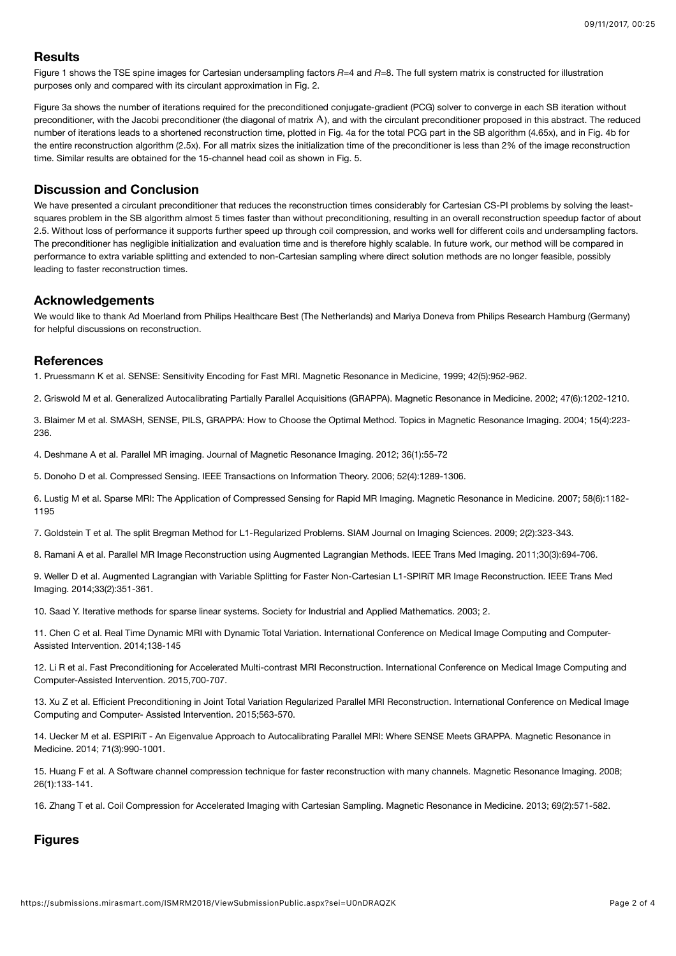## **Results**

Figure 1 shows the TSE spine images for Cartesian undersampling factors  $R=4$  and  $R=8$ . The full system matrix is constructed for illustration purposes only and compared with its circulant approximation in Fig. 2.

Figure 3a shows the number of iterations required for the preconditioned conjugate-gradient (PCG) solver to converge in each SB iteration without preconditioner, with the Jacobi preconditioner (the diagonal of matrix A), and with the circulant preconditioner proposed in this abstract. The reduced number of iterations leads to a shortened reconstruction time, plotted in Fig. 4a for the total PCG part in the SB algorithm (4.65x), and in Fig. 4b for the entire reconstruction algorithm (2.5x). For all matrix sizes the initialization time of the preconditioner is less than 2% of the image reconstruction time. Similar results are obtained for the 15-channel head coil as shown in Fig. 5.

## **Discussion and Conclusion**

We have presented a circulant preconditioner that reduces the reconstruction times considerably for Cartesian CS-PI problems by solving the leastsquares problem in the SB algorithm almost 5 times faster than without preconditioning, resulting in an overall reconstruction speedup factor of about 2.5. Without loss of performance it supports further speed up through coil compression, and works well for different coils and undersampling factors. The preconditioner has negligible initialization and evaluation time and is therefore highly scalable. In future work, our method will be compared in performance to extra variable splitting and extended to non-Cartesian sampling where direct solution methods are no longer feasible, possibly leading to faster reconstruction times.

## **Acknowledgements**

We would like to thank Ad Moerland from Philips Healthcare Best (The Netherlands) and Mariya Doneva from Philips Research Hamburg (Germany) for helpful discussions on reconstruction.

### **References**

1. Pruessmann K et al. SENSE: Sensitivity Encoding for Fast MRI. Magnetic Resonance in Medicine, 1999; 42(5):952-962.

2. Griswold M et al. Generalized Autocalibrating Partially Parallel Acquisitions (GRAPPA). Magnetic Resonance in Medicine. 2002; 47(6):1202-1210.

3. Blaimer M et al. SMASH, SENSE, PILS, GRAPPA: How to Choose the Optimal Method. Topics in Magnetic Resonance Imaging. 2004; 15(4):223- 236.

4. Deshmane A et al. Parallel MR imaging. Journal of Magnetic Resonance Imaging. 2012; 36(1):55-72

5. Donoho D et al. Compressed Sensing. IEEE Transactions on Information Theory. 2006; 52(4):1289-1306.

6. Lustig M et al. Sparse MRI: The Application of Compressed Sensing for Rapid MR Imaging. Magnetic Resonance in Medicine. 2007; 58(6):1182- 1195

7. Goldstein T et al. The split Bregman Method for L1-Regularized Problems. SIAM Journal on Imaging Sciences. 2009; 2(2):323-343.

8. Ramani A et al. Parallel MR Image Reconstruction using Augmented Lagrangian Methods. IEEE Trans Med Imaging. 2011;30(3):694-706.

9. Weller D et al. Augmented Lagrangian with Variable Splitting for Faster Non-Cartesian L1-SPIRiT MR Image Reconstruction. IEEE Trans Med Imaging. 2014;33(2):351-361.

10. Saad Y. Iterative methods for sparse linear systems. Society for Industrial and Applied Mathematics. 2003; 2.

11. Chen C et al. Real Time Dynamic MRI with Dynamic Total Variation. International Conference on Medical Image Computing and Computer-Assisted Intervention. 2014;138-145

12. Li R et al. Fast Preconditioning for Accelerated Multi-contrast MRI Reconstruction. International Conference on Medical Image Computing and Computer-Assisted Intervention. 2015,700-707.

13. Xu Z et al. Efficient Preconditioning in Joint Total Variation Regularized Parallel MRI Reconstruction. International Conference on Medical Image Computing and Computer- Assisted Intervention. 2015;563-570.

14. Uecker M et al. ESPIRiT - An Eigenvalue Approach to Autocalibrating Parallel MRI: Where SENSE Meets GRAPPA. Magnetic Resonance in Medicine. 2014; 71(3):990-1001.

15. Huang F et al. A Software channel compression technique for faster reconstruction with many channels. Magnetic Resonance Imaging. 2008; 26(1):133-141.

16. Zhang T et al. Coil Compression for Accelerated Imaging with Cartesian Sampling. Magnetic Resonance in Medicine. 2013; 69(2):571-582.

# **Figures**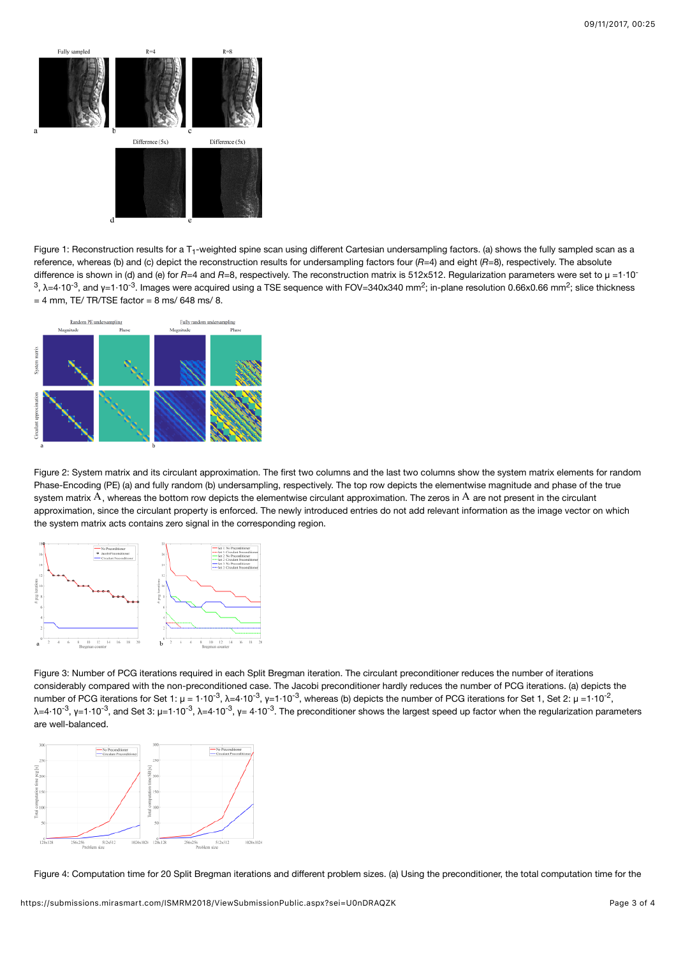

Figure 1: Reconstruction results for a T<sub>1</sub>-weighted spine scan using different Cartesian undersampling factors. (a) shows the fully sampled scan as a reference, whereas (b) and (c) depict the reconstruction results for undersampling factors four (*R*=4) and eight (*R*=8), respectively. The absolute difference is shown in (d) and (e) for *R*=4 and *R*=8, respectively. The reconstruction matrix is 512x512. Regularization parameters were set to  $\mu = 1.10$ <sup>-</sup>  $^3$ , λ=4·10<sup>-3</sup>, and γ=1·10<sup>-3</sup>. Images were acquired using a TSE sequence with FOV=340x340 mm<sup>2</sup>; in-plane resolution 0.66x0.66 mm<sup>2</sup>; slice thickness  $= 4$  mm, TE/ TR/TSE factor  $= 8$  ms/ 648 ms/ 8.



Figure 2: System matrix and its circulant approximation. The first two columns and the last two columns show the system matrix elements for random Phase-Encoding (PE) (a) and fully random (b) undersampling, respectively. The top row depicts the elementwise magnitude and phase of the true system matrix  $\rm A$  , whereas the bottom row depicts the elementwise circulant approximation. The zeros in  $\rm A$  are not present in the circulant approximation, since the circulant property is enforced. The newly introduced entries do not add relevant information as the image vector on which the system matrix acts contains zero signal in the corresponding region.



Figure 3: Number of PCG iterations required in each Split Bregman iteration. The circulant preconditioner reduces the number of iterations considerably compared with the non-preconditioned case. The Jacobi preconditioner hardly reduces the number of PCG iterations. (a) depicts the number of PCG iterations for Set 1: μ = 1·10<sup>-3</sup>, λ=4·10<sup>-3</sup>, γ=1·10<sup>-3</sup>, whereas (b) depicts the number of PCG iterations for Set 1, Set 2: μ =1·10<sup>-2</sup>, λ=4·10<sup>-3</sup>, γ=1·10<sup>-3</sup>, and Set 3: μ=1·10<sup>-3</sup>, λ=4·10<sup>-3</sup>, γ= 4·10<sup>-3</sup>. The preconditioner shows the largest speed up factor when the regularization parameters are well-balanced.



Figure 4: Computation time for 20 Split Bregman iterations and different problem sizes. (a) Using the preconditioner, the total computation time for the